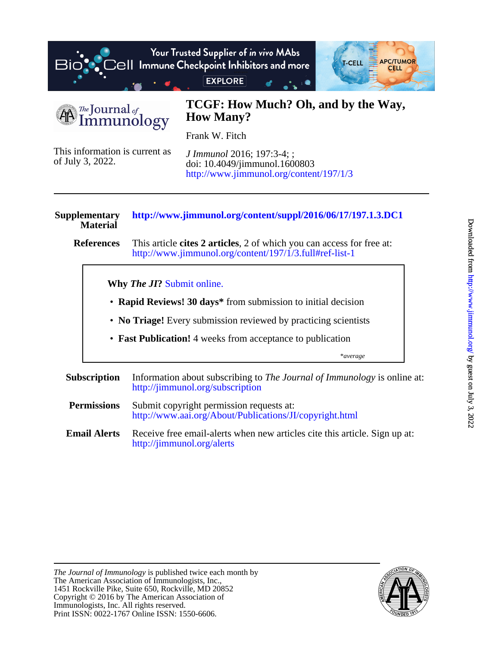

The Journal of mmunology

## **How Many? TCGF: How Much? Oh, and by the Way,**

Frank W. Fitch

of July 3, 2022. This information is current as <http://www.jimmunol.org/content/197/1/3> doi: 10.4049/jimmunol.1600803 *J Immunol* 2016; 197:3-4; ;

## **Material Supplementary <http://www.jimmunol.org/content/suppl/2016/06/17/197.1.3.DC1>**

**References** <http://www.jimmunol.org/content/197/1/3.full#ref-list-1> This article **cites 2 articles**, 2 of which you can access for free at:

**Why** *The JI***?** [Submit online.](https://ji.msubmit.net)

- **Rapid Reviews! 30 days\*** from submission to initial decision
- **No Triage!** Every submission reviewed by practicing scientists
- **Fast Publication!** 4 weeks from acceptance to publication

\**average*

- **Subscription** <http://jimmunol.org/subscription> Information about subscribing to *The Journal of Immunology* is online at:
- **Permissions** <http://www.aai.org/About/Publications/JI/copyright.html> Submit copyright permission requests at:
- **Email Alerts** <http://jimmunol.org/alerts> Receive free email-alerts when new articles cite this article. Sign up at:

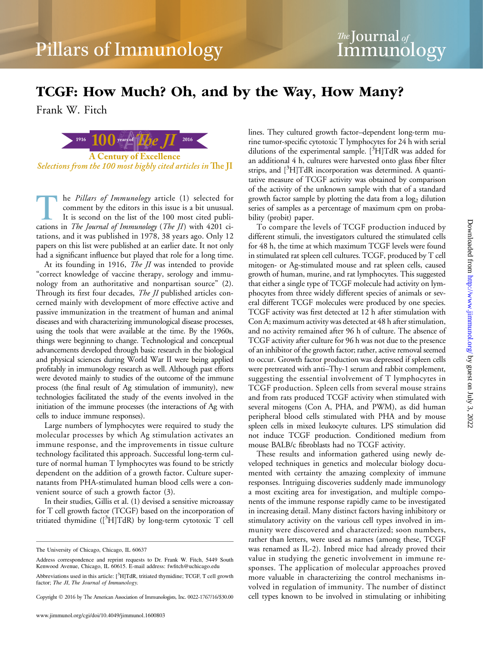# TCGF: How Much? Oh, and by the Way, How Many?

Frank W. Fitch



he Pillars of Immunology article (1) selected for comment by the editors in this issue is a bit unusual. It is second on the list of the 100 most cited publications in The Journal of Immunology (The JI) with 4201 citations, and it was published in 1978, 38 years ago. Only 12 papers on this list were published at an earlier date. It not only had a significant influence but played that role for a long time.

At its founding in 1916, *The JI* was intended to provide "correct knowledge of vaccine therapy, serology and immunology from an authoritative and nonpartisan source" (2). Through its first four decades, *The JI* published articles concerned mainly with development of more effective active and passive immunization in the treatment of human and animal diseases and with characterizing immunological disease processes, using the tools that were available at the time. By the 1960s, things were beginning to change. Technological and conceptual advancements developed through basic research in the biological and physical sciences during World War II were being applied profitably in immunology research as well. Although past efforts were devoted mainly to studies of the outcome of the immune process (the final result of Ag stimulation of immunity), new technologies facilitated the study of the events involved in the initiation of the immune processes (the interactions of Ag with cells to induce immune responses).

Large numbers of lymphocytes were required to study the molecular processes by which Ag stimulation activates an immune response, and the improvements in tissue culture technology facilitated this approach. Successful long-term culture of normal human T lymphocytes was found to be strictly dependent on the addition of a growth factor. Culture supernatants from PHA-stimulated human blood cells were a convenient source of such a growth factor (3).

In their studies, Gillis et al. (1) devised a sensitive microassay for T cell growth factor (TCGF) based on the incorporation of tritiated thymidine ([3 H]TdR) by long-term cytotoxic T cell

lines. They cultured growth factor–dependent long-term murine tumor-specific cytotoxic T lymphocytes for 24 h with serial dilutions of the experimental sample.  $[^{3}H]TdR$  was added for an additional 4 h, cultures were harvested onto glass fiber filter strips, and [<sup>3</sup>H]TdR incorporation was determined. A quantitative measure of TCGF activity was obtained by comparison of the activity of the unknown sample with that of a standard growth factor sample by plotting the data from a  $log<sub>2</sub>$  dilution series of samples as a percentage of maximum cpm on probability (probit) paper.

To compare the levels of TCGF production induced by different stimuli, the investigators cultured the stimulated cells for 48 h, the time at which maximum TCGF levels were found in stimulated rat spleen cell cultures. TCGF, produced by T cell mitogen- or Ag-stimulated mouse and rat spleen cells, caused growth of human, murine, and rat lymphocytes. This suggested that either a single type of TCGF molecule had activity on lymphocytes from three widely different species of animals or several different TCGF molecules were produced by one species. TCGF activity was first detected at 12 h after stimulation with Con A; maximum activity was detected at 48 h after stimulation, and no activity remained after 96 h of culture. The absence of TCGF activity after culture for 96 h was not due to the presence of an inhibitor of the growth factor; rather, active removal seemed to occur. Growth factor production was depressed if spleen cells were pretreated with anti–Thy-1 serum and rabbit complement, suggesting the essential involvement of T lymphocytes in TCGF production. Spleen cells from several mouse strains and from rats produced TCGF activity when stimulated with several mitogens (Con A, PHA, and PWM), as did human peripheral blood cells stimulated with PHA and by mouse spleen cells in mixed leukocyte cultures. LPS stimulation did not induce TCGF production. Conditioned medium from mouse BALB/c fibroblasts had no TCGF activity.

These results and information gathered using newly developed techniques in genetics and molecular biology documented with certainty the amazing complexity of immune responses. Intriguing discoveries suddenly made immunology a most exciting area for investigation, and multiple components of the immune response rapidly came to be investigated in increasing detail. Many distinct factors having inhibitory or stimulatory activity on the various cell types involved in immunity were discovered and characterized; soon numbers, rather than letters, were used as names (among these, TCGF was renamed as IL-2). Inbred mice had already proved their value in studying the genetic involvement in immune responses. The application of molecular approaches proved more valuable in characterizing the control mechanisms involved in regulation of immunity. The number of distinct cell types known to be involved in stimulating or inhibiting

The University of Chicago, Chicago, IL 60637

Address correspondence and reprint requests to Dr. Frank W. Fitch, 5449 South Kenwood Avenue, Chicago, IL 60615. E-mail address: fwfitch@uchicago.edu

Abbreviations used in this article: [<sup>3</sup>H]TdR, tritiated thymidine; TCGF, T cell growth factor; The JI, The Journal of Immunology.

Copyright 2016 by The American Association of Immunologists, Inc. 0022-1767/16/\$30.00